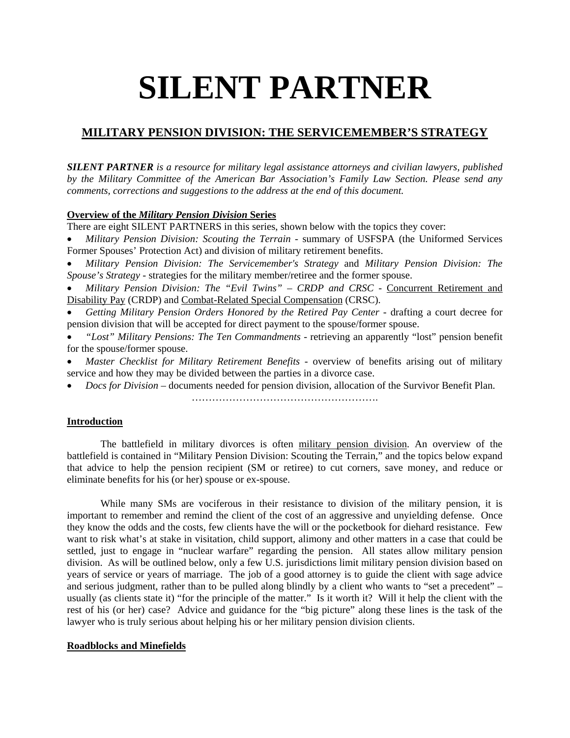# **SILENT PARTNER**

# **MILITARY PENSION DIVISION: THE SERVICEMEMBER'S STRATEGY**

*SILENT PARTNER is a resource for military legal assistance attorneys and civilian lawyers, published by the Military Committee of the American Bar Association's Family Law Section. Please send any comments, corrections and suggestions to the address at the end of this document.*

# **Overview of the** *Military Pension Division* **Series**

There are eight SILENT PARTNERS in this series, shown below with the topics they cover:

 *Military Pension Division: Scouting the Terrain* - summary of USFSPA (the Uniformed Services Former Spouses' Protection Act) and division of military retirement benefits.

 *Military Pension Division: The Servicemember's Strategy* and *Military Pension Division: The Spouse's Strategy* - strategies for the military member/retiree and the former spouse.

 *Military Pension Division: The "Evil Twins" – CRDP and CRSC* - Concurrent Retirement and Disability Pay (CRDP) and Combat-Related Special Compensation (CRSC).

 *Getting Military Pension Orders Honored by the Retired Pay Center* - drafting a court decree for pension division that will be accepted for direct payment to the spouse/former spouse.

 *"Lost" Military Pensions: The Ten Commandments* - retrieving an apparently "lost" pension benefit for the spouse/former spouse.

 *Master Checklist for Military Retirement Benefits* - overview of benefits arising out of military service and how they may be divided between the parties in a divorce case.

*Docs for Division* – documents needed for pension division, allocation of the Survivor Benefit Plan.

………………………………………………………

# **Introduction**

The battlefield in military divorces is often military pension division. An overview of the battlefield is contained in "Military Pension Division: Scouting the Terrain," and the topics below expand that advice to help the pension recipient (SM or retiree) to cut corners, save money, and reduce or eliminate benefits for his (or her) spouse or ex-spouse.

While many SMs are vociferous in their resistance to division of the military pension, it is important to remember and remind the client of the cost of an aggressive and unyielding defense. Once they know the odds and the costs, few clients have the will or the pocketbook for diehard resistance. Few want to risk what's at stake in visitation, child support, alimony and other matters in a case that could be settled, just to engage in "nuclear warfare" regarding the pension. All states allow military pension division. As will be outlined below, only a few U.S. jurisdictions limit military pension division based on years of service or years of marriage. The job of a good attorney is to guide the client with sage advice and serious judgment, rather than to be pulled along blindly by a client who wants to "set a precedent" – usually (as clients state it) "for the principle of the matter." Is it worth it? Will it help the client with the rest of his (or her) case? Advice and guidance for the "big picture" along these lines is the task of the lawyer who is truly serious about helping his or her military pension division clients.

# **Roadblocks and Minefields**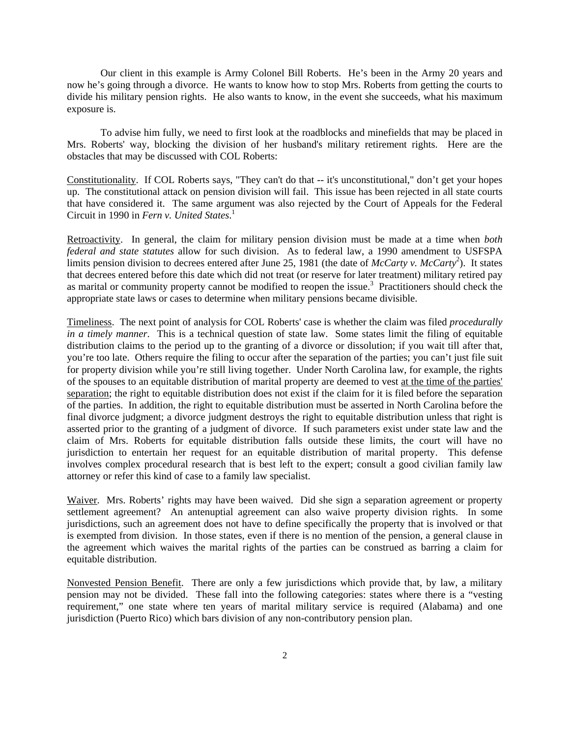Our client in this example is Army Colonel Bill Roberts. He's been in the Army 20 years and now he's going through a divorce. He wants to know how to stop Mrs. Roberts from getting the courts to divide his military pension rights. He also wants to know, in the event she succeeds, what his maximum exposure is.

To advise him fully, we need to first look at the roadblocks and minefields that may be placed in Mrs. Roberts' way, blocking the division of her husband's military retirement rights. Here are the obstacles that may be discussed with COL Roberts:

Constitutionality. If COL Roberts says, "They can't do that -- it's unconstitutional," don't get your hopes up. The constitutional attack on pension division will fail. This issue has been rejected in all state courts that have considered it. The same argument was also rejected by the Court of Appeals for the Federal Circuit in 1990 in *Fern v. United States*. 1

Retroactivity. In general, the claim for military pension division must be made at a time when *both federal and state statutes* allow for such division. As to federal law, a 1990 amendment to USFSPA limits pension division to decrees entered after June 25, 1981 (the date of *McCarty v. McCarty*<sup>2</sup>). It states that decrees entered before this date which did not treat (or reserve for later treatment) military retired pay as marital or community property cannot be modified to reopen the issue.<sup>3</sup> Practitioners should check the appropriate state laws or cases to determine when military pensions became divisible.

Timeliness. The next point of analysis for COL Roberts' case is whether the claim was filed *procedurally in a timely manner*. This is a technical question of state law. Some states limit the filing of equitable distribution claims to the period up to the granting of a divorce or dissolution; if you wait till after that, you're too late. Others require the filing to occur after the separation of the parties; you can't just file suit for property division while you're still living together. Under North Carolina law, for example, the rights of the spouses to an equitable distribution of marital property are deemed to vest at the time of the parties' separation; the right to equitable distribution does not exist if the claim for it is filed before the separation of the parties. In addition, the right to equitable distribution must be asserted in North Carolina before the final divorce judgment; a divorce judgment destroys the right to equitable distribution unless that right is asserted prior to the granting of a judgment of divorce. If such parameters exist under state law and the claim of Mrs. Roberts for equitable distribution falls outside these limits, the court will have no jurisdiction to entertain her request for an equitable distribution of marital property. This defense involves complex procedural research that is best left to the expert; consult a good civilian family law attorney or refer this kind of case to a family law specialist.

Waiver. Mrs. Roberts' rights may have been waived. Did she sign a separation agreement or property settlement agreement? An antenuptial agreement can also waive property division rights. In some jurisdictions, such an agreement does not have to define specifically the property that is involved or that is exempted from division. In those states, even if there is no mention of the pension, a general clause in the agreement which waives the marital rights of the parties can be construed as barring a claim for equitable distribution.

Nonvested Pension Benefit. There are only a few jurisdictions which provide that, by law, a military pension may not be divided. These fall into the following categories: states where there is a "vesting requirement," one state where ten years of marital military service is required (Alabama) and one jurisdiction (Puerto Rico) which bars division of any non-contributory pension plan.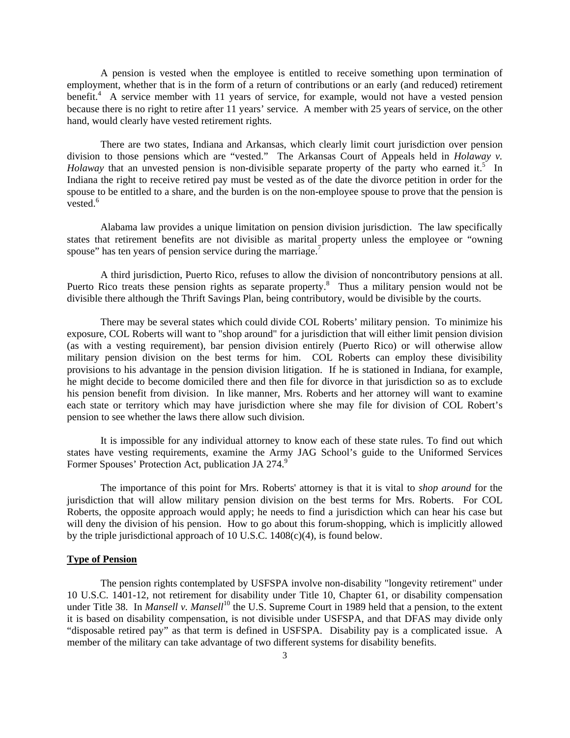A pension is vested when the employee is entitled to receive something upon termination of employment, whether that is in the form of a return of contributions or an early (and reduced) retirement benefit.<sup>4</sup> A service member with 11 years of service, for example, would not have a vested pension because there is no right to retire after 11 years' service. A member with 25 years of service, on the other hand, would clearly have vested retirement rights.

There are two states, Indiana and Arkansas, which clearly limit court jurisdiction over pension division to those pensions which are "vested." The Arkansas Court of Appeals held in *Holaway v. Holaway* that an unvested pension is non-divisible separate property of the party who earned it.<sup>5</sup> In Indiana the right to receive retired pay must be vested as of the date the divorce petition in order for the spouse to be entitled to a share, and the burden is on the non-employee spouse to prove that the pension is vested.<sup>6</sup>

Alabama law provides a unique limitation on pension division jurisdiction. The law specifically states that retirement benefits are not divisible as marital property unless the employee or "owning spouse" has ten years of pension service during the marriage.<sup>7</sup>

A third jurisdiction, Puerto Rico, refuses to allow the division of noncontributory pensions at all. Puerto Rico treats these pension rights as separate property.<sup>8</sup> Thus a military pension would not be divisible there although the Thrift Savings Plan, being contributory, would be divisible by the courts.

There may be several states which could divide COL Roberts' military pension. To minimize his exposure, COL Roberts will want to "shop around" for a jurisdiction that will either limit pension division (as with a vesting requirement), bar pension division entirely (Puerto Rico) or will otherwise allow military pension division on the best terms for him. COL Roberts can employ these divisibility provisions to his advantage in the pension division litigation. If he is stationed in Indiana, for example, he might decide to become domiciled there and then file for divorce in that jurisdiction so as to exclude his pension benefit from division. In like manner, Mrs. Roberts and her attorney will want to examine each state or territory which may have jurisdiction where she may file for division of COL Robert's pension to see whether the laws there allow such division.

It is impossible for any individual attorney to know each of these state rules. To find out which states have vesting requirements, examine the Army JAG School's guide to the Uniformed Services Former Spouses' Protection Act, publication JA 274.9

The importance of this point for Mrs. Roberts' attorney is that it is vital to *shop around* for the jurisdiction that will allow military pension division on the best terms for Mrs. Roberts. For COL Roberts, the opposite approach would apply; he needs to find a jurisdiction which can hear his case but will deny the division of his pension. How to go about this forum-shopping, which is implicitly allowed by the triple jurisdictional approach of 10 U.S.C. 1408(c)(4), is found below.

#### **Type of Pension**

The pension rights contemplated by USFSPA involve non-disability "longevity retirement" under 10 U.S.C. 1401-12, not retirement for disability under Title 10, Chapter 61, or disability compensation under Title 38. In *Mansell v. Mansell*<sup>10</sup> the U.S. Supreme Court in 1989 held that a pension, to the extent it is based on disability compensation, is not divisible under USFSPA, and that DFAS may divide only "disposable retired pay" as that term is defined in USFSPA. Disability pay is a complicated issue. A member of the military can take advantage of two different systems for disability benefits.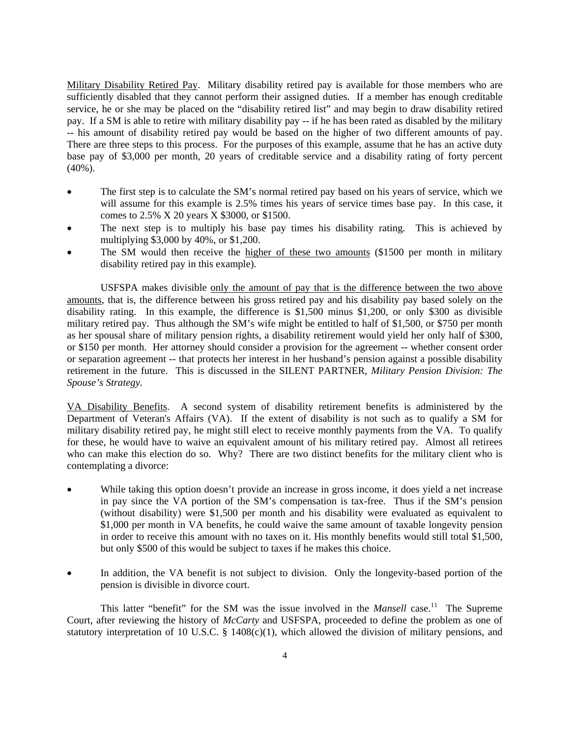Military Disability Retired Pay. Military disability retired pay is available for those members who are sufficiently disabled that they cannot perform their assigned duties. If a member has enough creditable service, he or she may be placed on the "disability retired list" and may begin to draw disability retired pay. If a SM is able to retire with military disability pay -- if he has been rated as disabled by the military -- his amount of disability retired pay would be based on the higher of two different amounts of pay. There are three steps to this process. For the purposes of this example, assume that he has an active duty base pay of \$3,000 per month, 20 years of creditable service and a disability rating of forty percent (40%).

- The first step is to calculate the SM's normal retired pay based on his years of service, which we will assume for this example is 2.5% times his years of service times base pay. In this case, it comes to 2.5% X 20 years X \$3000, or \$1500.
- The next step is to multiply his base pay times his disability rating. This is achieved by multiplying \$3,000 by 40%, or \$1,200.
- The SM would then receive the higher of these two amounts (\$1500 per month in military disability retired pay in this example).

USFSPA makes divisible only the amount of pay that is the difference between the two above amounts, that is, the difference between his gross retired pay and his disability pay based solely on the disability rating. In this example, the difference is \$1,500 minus \$1,200, or only \$300 as divisible military retired pay. Thus although the SM's wife might be entitled to half of \$1,500, or \$750 per month as her spousal share of military pension rights, a disability retirement would yield her only half of \$300, or \$150 per month. Her attorney should consider a provision for the agreement -- whether consent order or separation agreement -- that protects her interest in her husband's pension against a possible disability retirement in the future. This is discussed in the SILENT PARTNER, *Military Pension Division: The Spouse's Strategy.*

VA Disability Benefits. A second system of disability retirement benefits is administered by the Department of Veteran's Affairs (VA). If the extent of disability is not such as to qualify a SM for military disability retired pay, he might still elect to receive monthly payments from the VA. To qualify for these, he would have to waive an equivalent amount of his military retired pay. Almost all retirees who can make this election do so. Why? There are two distinct benefits for the military client who is contemplating a divorce:

- While taking this option doesn't provide an increase in gross income, it does yield a net increase in pay since the VA portion of the SM's compensation is tax-free. Thus if the SM's pension (without disability) were \$1,500 per month and his disability were evaluated as equivalent to \$1,000 per month in VA benefits, he could waive the same amount of taxable longevity pension in order to receive this amount with no taxes on it. His monthly benefits would still total \$1,500, but only \$500 of this would be subject to taxes if he makes this choice.
- In addition, the VA benefit is not subject to division. Only the longevity-based portion of the pension is divisible in divorce court.

This latter "benefit" for the SM was the issue involved in the *Mansell* case.<sup>11</sup> The Supreme Court, after reviewing the history of *McCarty* and USFSPA, proceeded to define the problem as one of statutory interpretation of 10 U.S.C. § 1408(c)(1), which allowed the division of military pensions, and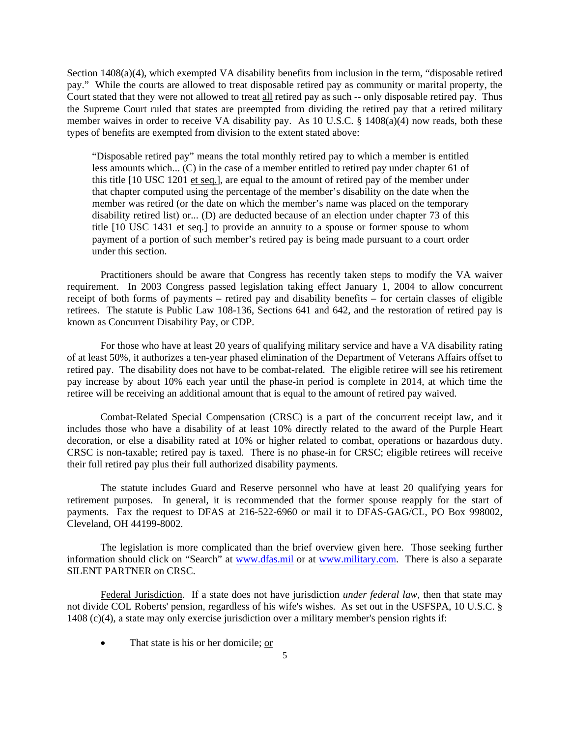Section 1408(a)(4), which exempted VA disability benefits from inclusion in the term, "disposable retired pay." While the courts are allowed to treat disposable retired pay as community or marital property, the Court stated that they were not allowed to treat all retired pay as such -- only disposable retired pay. Thus the Supreme Court ruled that states are preempted from dividing the retired pay that a retired military member waives in order to receive VA disability pay. As 10 U.S.C.  $\S$  1408(a)(4) now reads, both these types of benefits are exempted from division to the extent stated above:

"Disposable retired pay" means the total monthly retired pay to which a member is entitled less amounts which... (C) in the case of a member entitled to retired pay under chapter 61 of this title [10 USC 1201 et seq.], are equal to the amount of retired pay of the member under that chapter computed using the percentage of the member's disability on the date when the member was retired (or the date on which the member's name was placed on the temporary disability retired list) or... (D) are deducted because of an election under chapter 73 of this title [10 USC 1431 et seq.] to provide an annuity to a spouse or former spouse to whom payment of a portion of such member's retired pay is being made pursuant to a court order under this section.

Practitioners should be aware that Congress has recently taken steps to modify the VA waiver requirement. In 2003 Congress passed legislation taking effect January 1, 2004 to allow concurrent receipt of both forms of payments – retired pay and disability benefits – for certain classes of eligible retirees. The statute is Public Law 108-136, Sections 641 and 642, and the restoration of retired pay is known as Concurrent Disability Pay, or CDP.

For those who have at least 20 years of qualifying military service and have a VA disability rating of at least 50%, it authorizes a ten-year phased elimination of the Department of Veterans Affairs offset to retired pay. The disability does not have to be combat-related. The eligible retiree will see his retirement pay increase by about 10% each year until the phase-in period is complete in 2014, at which time the retiree will be receiving an additional amount that is equal to the amount of retired pay waived.

Combat-Related Special Compensation (CRSC) is a part of the concurrent receipt law, and it includes those who have a disability of at least 10% directly related to the award of the Purple Heart decoration, or else a disability rated at 10% or higher related to combat, operations or hazardous duty. CRSC is non-taxable; retired pay is taxed. There is no phase-in for CRSC; eligible retirees will receive their full retired pay plus their full authorized disability payments.

The statute includes Guard and Reserve personnel who have at least 20 qualifying years for retirement purposes. In general, it is recommended that the former spouse reapply for the start of payments. Fax the request to DFAS at 216-522-6960 or mail it to DFAS-GAG/CL, PO Box 998002, Cleveland, OH 44199-8002.

The legislation is more complicated than the brief overview given here. Those seeking further information should click on "Search" at www.dfas.mil or at www.military.com. There is also a separate SILENT PARTNER on CRSC.

Federal Jurisdiction. If a state does not have jurisdiction *under federal law*, then that state may not divide COL Roberts' pension, regardless of his wife's wishes. As set out in the USFSPA, 10 U.S.C. § 1408 (c)(4), a state may only exercise jurisdiction over a military member's pension rights if:

That state is his or her domicile; or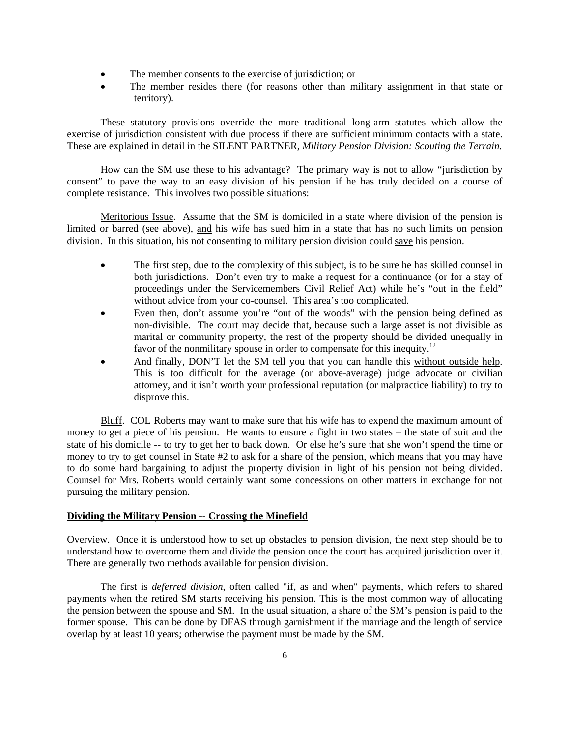- The member consents to the exercise of jurisdiction; or
- The member resides there (for reasons other than military assignment in that state or territory).

These statutory provisions override the more traditional long-arm statutes which allow the exercise of jurisdiction consistent with due process if there are sufficient minimum contacts with a state. These are explained in detail in the SILENT PARTNER, *Military Pension Division: Scouting the Terrain.* 

How can the SM use these to his advantage? The primary way is not to allow "jurisdiction by consent" to pave the way to an easy division of his pension if he has truly decided on a course of complete resistance. This involves two possible situations:

Meritorious Issue. Assume that the SM is domiciled in a state where division of the pension is limited or barred (see above), and his wife has sued him in a state that has no such limits on pension division. In this situation, his not consenting to military pension division could save his pension.

- The first step, due to the complexity of this subject, is to be sure he has skilled counsel in both jurisdictions. Don't even try to make a request for a continuance (or for a stay of proceedings under the Servicemembers Civil Relief Act) while he's "out in the field" without advice from your co-counsel. This area's too complicated.
- Even then, don't assume you're "out of the woods" with the pension being defined as non-divisible. The court may decide that, because such a large asset is not divisible as marital or community property, the rest of the property should be divided unequally in favor of the nonmilitary spouse in order to compensate for this inequity.<sup>12</sup>
- And finally, DON'T let the SM tell you that you can handle this without outside help. This is too difficult for the average (or above-average) judge advocate or civilian attorney, and it isn't worth your professional reputation (or malpractice liability) to try to disprove this.

Bluff. COL Roberts may want to make sure that his wife has to expend the maximum amount of money to get a piece of his pension. He wants to ensure a fight in two states – the state of suit and the state of his domicile -- to try to get her to back down. Or else he's sure that she won't spend the time or money to try to get counsel in State #2 to ask for a share of the pension, which means that you may have to do some hard bargaining to adjust the property division in light of his pension not being divided. Counsel for Mrs. Roberts would certainly want some concessions on other matters in exchange for not pursuing the military pension.

#### **Dividing the Military Pension -- Crossing the Minefield**

Overview. Once it is understood how to set up obstacles to pension division, the next step should be to understand how to overcome them and divide the pension once the court has acquired jurisdiction over it. There are generally two methods available for pension division.

The first is *deferred division*, often called "if, as and when" payments, which refers to shared payments when the retired SM starts receiving his pension. This is the most common way of allocating the pension between the spouse and SM. In the usual situation, a share of the SM's pension is paid to the former spouse. This can be done by DFAS through garnishment if the marriage and the length of service overlap by at least 10 years; otherwise the payment must be made by the SM.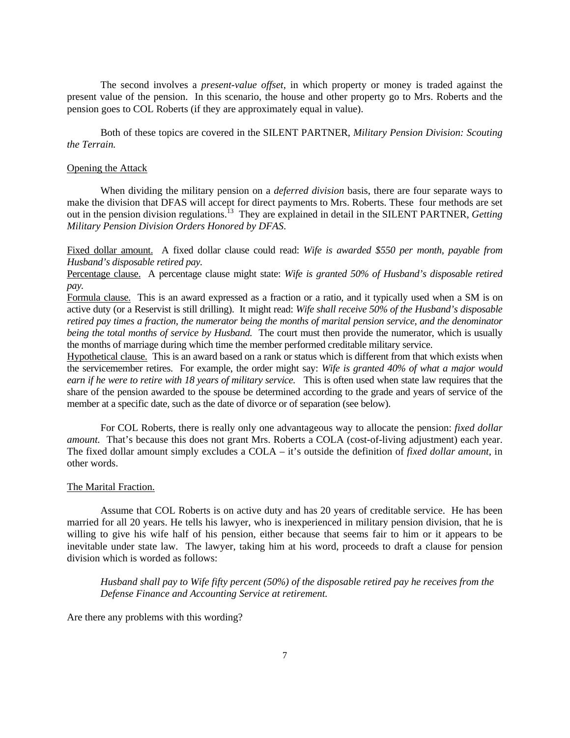The second involves a *present-value offset*, in which property or money is traded against the present value of the pension. In this scenario, the house and other property go to Mrs. Roberts and the pension goes to COL Roberts (if they are approximately equal in value).

Both of these topics are covered in the SILENT PARTNER, *Military Pension Division: Scouting the Terrain.*

### Opening the Attack

When dividing the military pension on a *deferred division* basis, there are four separate ways to make the division that DFAS will accept for direct payments to Mrs. Roberts. These four methods are set out in the pension division regulations.13 They are explained in detail in the SILENT PARTNER, *Getting Military Pension Division Orders Honored by DFAS*.

Fixed dollar amount. A fixed dollar clause could read: *Wife is awarded \$550 per month, payable from Husband's disposable retired pay.*

Percentage clause. A percentage clause might state: *Wife is granted 50% of Husband's disposable retired pay.*

Formula clause. This is an award expressed as a fraction or a ratio, and it typically used when a SM is on active duty (or a Reservist is still drilling). It might read: *Wife shall receive 50% of the Husband's disposable retired pay times a fraction, the numerator being the months of marital pension service, and the denominator being the total months of service by Husband.* The court must then provide the numerator, which is usually the months of marriage during which time the member performed creditable military service.

Hypothetical clause. This is an award based on a rank or status which is different from that which exists when the servicemember retires. For example, the order might say: *Wife is granted 40% of what a major would earn if he were to retire with 18 years of military service.* This is often used when state law requires that the share of the pension awarded to the spouse be determined according to the grade and years of service of the member at a specific date, such as the date of divorce or of separation (see below).

For COL Roberts, there is really only one advantageous way to allocate the pension: *fixed dollar amount.* That's because this does not grant Mrs. Roberts a COLA (cost-of-living adjustment) each year. The fixed dollar amount simply excludes a COLA – it's outside the definition of *fixed dollar amount*, in other words.

#### The Marital Fraction.

Assume that COL Roberts is on active duty and has 20 years of creditable service. He has been married for all 20 years. He tells his lawyer, who is inexperienced in military pension division, that he is willing to give his wife half of his pension, either because that seems fair to him or it appears to be inevitable under state law. The lawyer, taking him at his word, proceeds to draft a clause for pension division which is worded as follows:

*Husband shall pay to Wife fifty percent (50%) of the disposable retired pay he receives from the Defense Finance and Accounting Service at retirement.* 

Are there any problems with this wording?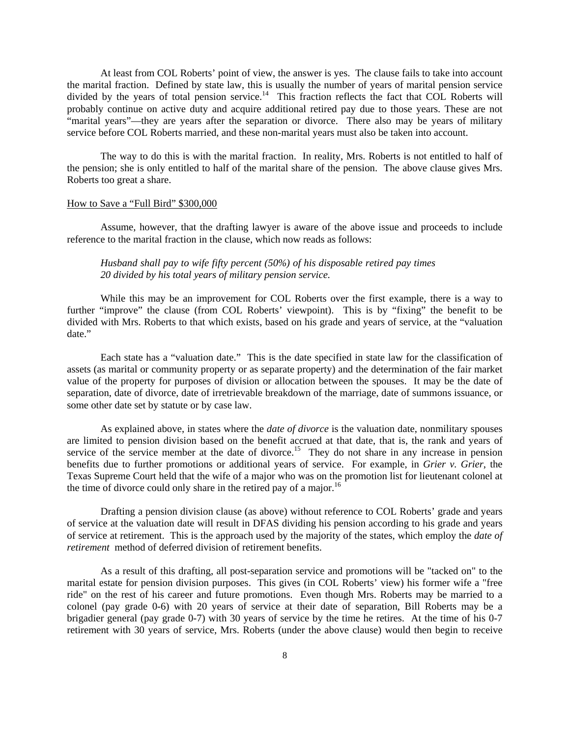At least from COL Roberts' point of view, the answer is yes. The clause fails to take into account the marital fraction. Defined by state law, this is usually the number of years of marital pension service divided by the years of total pension service.14 This fraction reflects the fact that COL Roberts will probably continue on active duty and acquire additional retired pay due to those years. These are not "marital years"—they are years after the separation or divorce. There also may be years of military service before COL Roberts married, and these non-marital years must also be taken into account.

The way to do this is with the marital fraction. In reality, Mrs. Roberts is not entitled to half of the pension; she is only entitled to half of the marital share of the pension. The above clause gives Mrs. Roberts too great a share.

#### How to Save a "Full Bird" \$300,000

Assume, however, that the drafting lawyer is aware of the above issue and proceeds to include reference to the marital fraction in the clause, which now reads as follows:

# *Husband shall pay to wife fifty percent (50%) of his disposable retired pay times 20 divided by his total years of military pension service.*

While this may be an improvement for COL Roberts over the first example, there is a way to further "improve" the clause (from COL Roberts' viewpoint). This is by "fixing" the benefit to be divided with Mrs. Roberts to that which exists, based on his grade and years of service, at the "valuation date."

 Each state has a "valuation date." This is the date specified in state law for the classification of assets (as marital or community property or as separate property) and the determination of the fair market value of the property for purposes of division or allocation between the spouses. It may be the date of separation, date of divorce, date of irretrievable breakdown of the marriage, date of summons issuance, or some other date set by statute or by case law.

 As explained above, in states where the *date of divorce* is the valuation date, nonmilitary spouses are limited to pension division based on the benefit accrued at that date, that is, the rank and years of service of the service member at the date of divorce.<sup>15</sup> They do not share in any increase in pension benefits due to further promotions or additional years of service. For example, in *Grier v. Grier*, the Texas Supreme Court held that the wife of a major who was on the promotion list for lieutenant colonel at the time of divorce could only share in the retired pay of a major.<sup>16</sup>

 Drafting a pension division clause (as above) without reference to COL Roberts' grade and years of service at the valuation date will result in DFAS dividing his pension according to his grade and years of service at retirement. This is the approach used by the majority of the states, which employ the *date of retirement* method of deferred division of retirement benefits.

As a result of this drafting, all post-separation service and promotions will be "tacked on" to the marital estate for pension division purposes. This gives (in COL Roberts' view) his former wife a "free ride" on the rest of his career and future promotions. Even though Mrs. Roberts may be married to a colonel (pay grade 0-6) with 20 years of service at their date of separation, Bill Roberts may be a brigadier general (pay grade 0-7) with 30 years of service by the time he retires. At the time of his 0-7 retirement with 30 years of service, Mrs. Roberts (under the above clause) would then begin to receive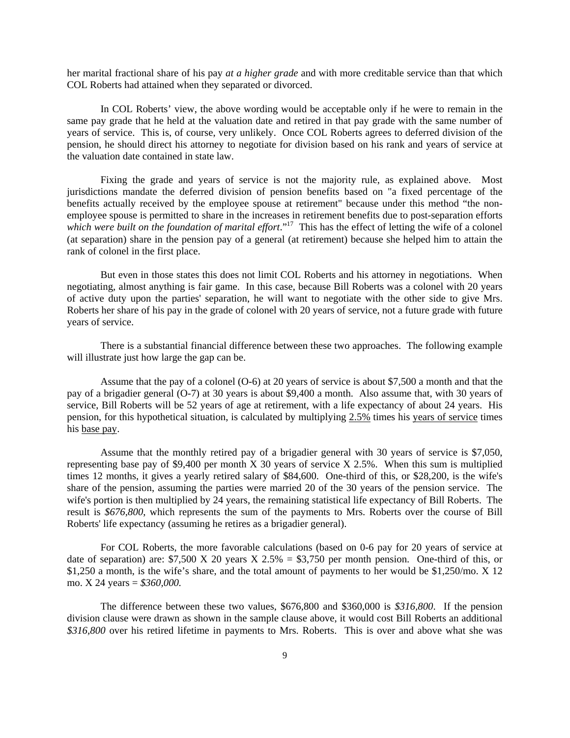her marital fractional share of his pay *at a higher grade* and with more creditable service than that which COL Roberts had attained when they separated or divorced.

In COL Roberts' view, the above wording would be acceptable only if he were to remain in the same pay grade that he held at the valuation date and retired in that pay grade with the same number of years of service. This is, of course, very unlikely. Once COL Roberts agrees to deferred division of the pension, he should direct his attorney to negotiate for division based on his rank and years of service at the valuation date contained in state law.

Fixing the grade and years of service is not the majority rule, as explained above. Most jurisdictions mandate the deferred division of pension benefits based on "a fixed percentage of the benefits actually received by the employee spouse at retirement" because under this method "the nonemployee spouse is permitted to share in the increases in retirement benefits due to post-separation efforts which were built on the foundation of marital effort."<sup>17</sup> This has the effect of letting the wife of a colonel (at separation) share in the pension pay of a general (at retirement) because she helped him to attain the rank of colonel in the first place.

But even in those states this does not limit COL Roberts and his attorney in negotiations. When negotiating, almost anything is fair game. In this case, because Bill Roberts was a colonel with 20 years of active duty upon the parties' separation, he will want to negotiate with the other side to give Mrs. Roberts her share of his pay in the grade of colonel with 20 years of service, not a future grade with future years of service.

There is a substantial financial difference between these two approaches. The following example will illustrate just how large the gap can be.

Assume that the pay of a colonel (O-6) at 20 years of service is about \$7,500 a month and that the pay of a brigadier general (O-7) at 30 years is about \$9,400 a month. Also assume that, with 30 years of service, Bill Roberts will be 52 years of age at retirement, with a life expectancy of about 24 years. His pension, for this hypothetical situation, is calculated by multiplying 2.5% times his years of service times his base pay.

Assume that the monthly retired pay of a brigadier general with 30 years of service is \$7,050, representing base pay of \$9,400 per month X 30 years of service X 2.5%. When this sum is multiplied times 12 months, it gives a yearly retired salary of \$84,600. One-third of this, or \$28,200, is the wife's share of the pension, assuming the parties were married 20 of the 30 years of the pension service. The wife's portion is then multiplied by 24 years, the remaining statistical life expectancy of Bill Roberts. The result is *\$676,800*, which represents the sum of the payments to Mrs. Roberts over the course of Bill Roberts' life expectancy (assuming he retires as a brigadier general).

For COL Roberts, the more favorable calculations (based on 0-6 pay for 20 years of service at date of separation) are:  $$7,500 \text{ X } 20 \text{ years } X \text{ 2.5\% } = $3,750 \text{ per month pension.}$  One-third of this, or \$1,250 a month, is the wife's share, and the total amount of payments to her would be \$1,250/mo. X 12 mo. X 24 years = *\$360,000.* 

The difference between these two values, \$676,800 and \$360,000 is *\$316,800*. If the pension division clause were drawn as shown in the sample clause above, it would cost Bill Roberts an additional *\$316,800* over his retired lifetime in payments to Mrs. Roberts. This is over and above what she was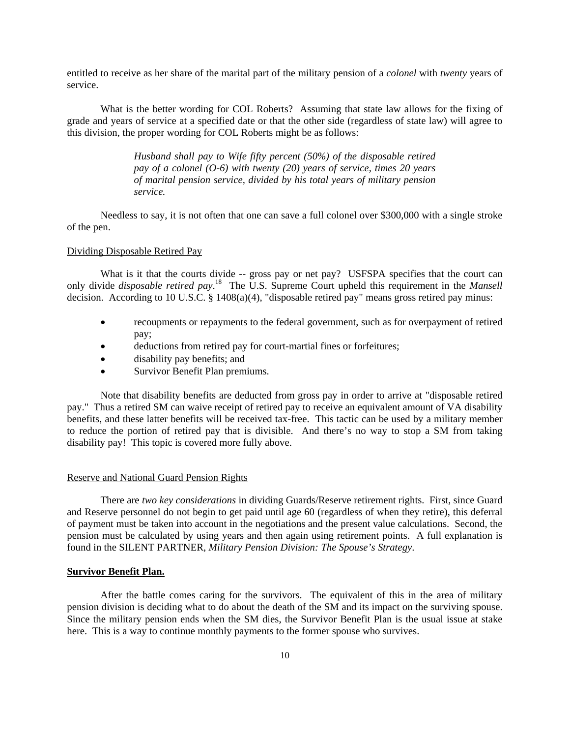entitled to receive as her share of the marital part of the military pension of a *colonel* with *twenty* years of service.

What is the better wording for COL Roberts? Assuming that state law allows for the fixing of grade and years of service at a specified date or that the other side (regardless of state law) will agree to this division, the proper wording for COL Roberts might be as follows:

> *Husband shall pay to Wife fifty percent (50%) of the disposable retired pay of a colonel (O-6) with twenty (20) years of service, times 20 years of marital pension service, divided by his total years of military pension service.*

Needless to say, it is not often that one can save a full colonel over \$300,000 with a single stroke of the pen.

#### Dividing Disposable Retired Pay

What is it that the courts divide -- gross pay or net pay? USFSPA specifies that the court can only divide *disposable retired pay*. 18 The U.S. Supreme Court upheld this requirement in the *Mansell* decision. According to 10 U.S.C. § 1408(a)(4), "disposable retired pay" means gross retired pay minus:

- recoupments or repayments to the federal government, such as for overpayment of retired pay;
- deductions from retired pay for court-martial fines or forfeitures;
- disability pay benefits; and
- Survivor Benefit Plan premiums.

Note that disability benefits are deducted from gross pay in order to arrive at "disposable retired pay." Thus a retired SM can waive receipt of retired pay to receive an equivalent amount of VA disability benefits, and these latter benefits will be received tax-free. This tactic can be used by a military member to reduce the portion of retired pay that is divisible. And there's no way to stop a SM from taking disability pay! This topic is covered more fully above.

#### Reserve and National Guard Pension Rights

There are *two key considerations* in dividing Guards/Reserve retirement rights. First, since Guard and Reserve personnel do not begin to get paid until age 60 (regardless of when they retire), this deferral of payment must be taken into account in the negotiations and the present value calculations. Second, the pension must be calculated by using years and then again using retirement points. A full explanation is found in the SILENT PARTNER, *Military Pension Division: The Spouse's Strategy*.

## **Survivor Benefit Plan.**

After the battle comes caring for the survivors. The equivalent of this in the area of military pension division is deciding what to do about the death of the SM and its impact on the surviving spouse. Since the military pension ends when the SM dies, the Survivor Benefit Plan is the usual issue at stake here. This is a way to continue monthly payments to the former spouse who survives.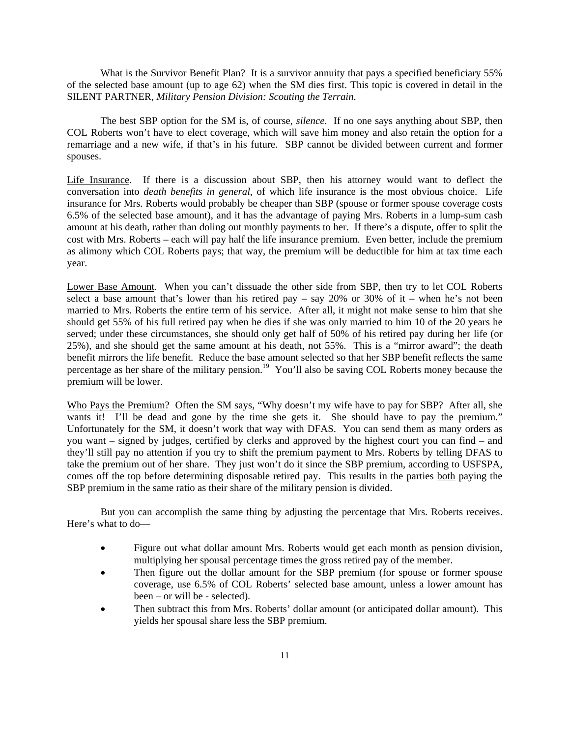What is the Survivor Benefit Plan? It is a survivor annuity that pays a specified beneficiary 55% of the selected base amount (up to age 62) when the SM dies first. This topic is covered in detail in the SILENT PARTNER, *Military Pension Division: Scouting the Terrain*.

The best SBP option for the SM is, of course, *silence*. If no one says anything about SBP, then COL Roberts won't have to elect coverage, which will save him money and also retain the option for a remarriage and a new wife, if that's in his future. SBP cannot be divided between current and former spouses.

Life Insurance. If there is a discussion about SBP, then his attorney would want to deflect the conversation into *death benefits in general*, of which life insurance is the most obvious choice. Life insurance for Mrs. Roberts would probably be cheaper than SBP (spouse or former spouse coverage costs 6.5% of the selected base amount), and it has the advantage of paying Mrs. Roberts in a lump-sum cash amount at his death, rather than doling out monthly payments to her. If there's a dispute, offer to split the cost with Mrs. Roberts – each will pay half the life insurance premium. Even better, include the premium as alimony which COL Roberts pays; that way, the premium will be deductible for him at tax time each year.

Lower Base Amount. When you can't dissuade the other side from SBP, then try to let COL Roberts select a base amount that's lower than his retired pay – say 20% or 30% of it – when he's not been married to Mrs. Roberts the entire term of his service. After all, it might not make sense to him that she should get 55% of his full retired pay when he dies if she was only married to him 10 of the 20 years he served; under these circumstances, she should only get half of 50% of his retired pay during her life (or 25%), and she should get the same amount at his death, not 55%. This is a "mirror award"; the death benefit mirrors the life benefit. Reduce the base amount selected so that her SBP benefit reflects the same percentage as her share of the military pension.<sup>19</sup> You'll also be saving COL Roberts money because the premium will be lower.

Who Pays the Premium? Often the SM says, "Why doesn't my wife have to pay for SBP? After all, she wants it! I'll be dead and gone by the time she gets it. She should have to pay the premium." Unfortunately for the SM, it doesn't work that way with DFAS. You can send them as many orders as you want – signed by judges, certified by clerks and approved by the highest court you can find – and they'll still pay no attention if you try to shift the premium payment to Mrs. Roberts by telling DFAS to take the premium out of her share. They just won't do it since the SBP premium, according to USFSPA, comes off the top before determining disposable retired pay. This results in the parties both paying the SBP premium in the same ratio as their share of the military pension is divided.

But you can accomplish the same thing by adjusting the percentage that Mrs. Roberts receives. Here's what to do—

- Figure out what dollar amount Mrs. Roberts would get each month as pension division, multiplying her spousal percentage times the gross retired pay of the member.
- Then figure out the dollar amount for the SBP premium (for spouse or former spouse coverage, use 6.5% of COL Roberts' selected base amount, unless a lower amount has been – or will be - selected).
- Then subtract this from Mrs. Roberts' dollar amount (or anticipated dollar amount). This yields her spousal share less the SBP premium.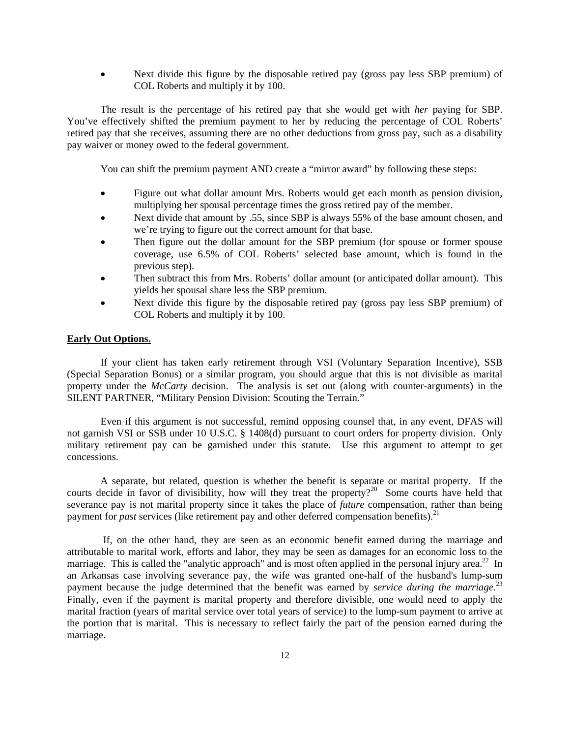• Next divide this figure by the disposable retired pay (gross pay less SBP premium) of COL Roberts and multiply it by 100.

The result is the percentage of his retired pay that she would get with *her* paying for SBP. You've effectively shifted the premium payment to her by reducing the percentage of COL Roberts' retired pay that she receives, assuming there are no other deductions from gross pay, such as a disability pay waiver or money owed to the federal government.

You can shift the premium payment AND create a "mirror award" by following these steps:

- Figure out what dollar amount Mrs. Roberts would get each month as pension division, multiplying her spousal percentage times the gross retired pay of the member.
- Next divide that amount by .55, since SBP is always 55% of the base amount chosen, and we're trying to figure out the correct amount for that base.
- Then figure out the dollar amount for the SBP premium (for spouse or former spouse coverage, use 6.5% of COL Roberts' selected base amount, which is found in the previous step).
- Then subtract this from Mrs. Roberts' dollar amount (or anticipated dollar amount). This yields her spousal share less the SBP premium.
- Next divide this figure by the disposable retired pay (gross pay less SBP premium) of COL Roberts and multiply it by 100.

## **Early Out Options.**

 If your client has taken early retirement through VSI (Voluntary Separation Incentive), SSB (Special Separation Bonus) or a similar program, you should argue that this is not divisible as marital property under the *McCarty* decision. The analysis is set out (along with counter-arguments) in the SILENT PARTNER, "Military Pension Division: Scouting the Terrain."

 Even if this argument is not successful, remind opposing counsel that, in any event, DFAS will not garnish VSI or SSB under 10 U.S.C. § 1408(d) pursuant to court orders for property division. Only military retirement pay can be garnished under this statute. Use this argument to attempt to get concessions.

 A separate, but related, question is whether the benefit is separate or marital property. If the courts decide in favor of divisibility, how will they treat the property?<sup>20</sup> Some courts have held that severance pay is not marital property since it takes the place of *future* compensation, rather than being payment for *past* services (like retirement pay and other deferred compensation benefits).<sup>21</sup>

 If, on the other hand, they are seen as an economic benefit earned during the marriage and attributable to marital work, efforts and labor, they may be seen as damages for an economic loss to the marriage. This is called the "analytic approach" and is most often applied in the personal injury area.<sup>22</sup> In an Arkansas case involving severance pay, the wife was granted one-half of the husband's lump-sum payment because the judge determined that the benefit was earned by *service during the marriage*.<sup>23</sup> Finally, even if the payment is marital property and therefore divisible, one would need to apply the marital fraction (years of marital service over total years of service) to the lump-sum payment to arrive at the portion that is marital. This is necessary to reflect fairly the part of the pension earned during the marriage.